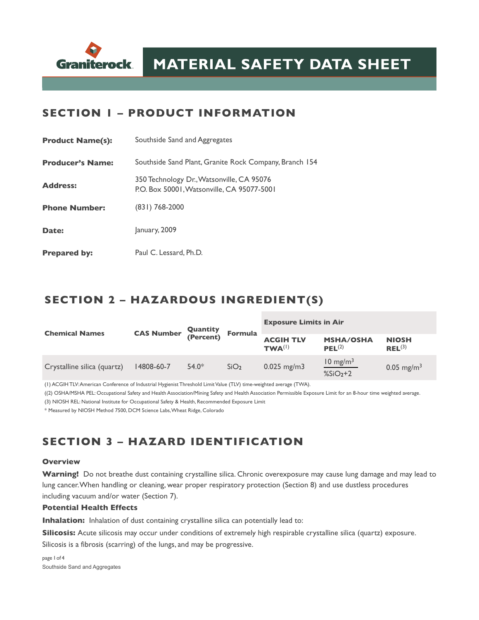

#### **SECTION 1 – PRODUCT INFORMATION**

| <b>Product Name(s):</b> | Southside Sand and Aggregates                                                           |  |  |  |  |
|-------------------------|-----------------------------------------------------------------------------------------|--|--|--|--|
| <b>Producer's Name:</b> | Southside Sand Plant, Granite Rock Company, Branch 154                                  |  |  |  |  |
| <b>Address:</b>         | 350 Technology Dr., Watsonville, CA 95076<br>P.O. Box 50001, Watsonville, CA 95077-5001 |  |  |  |  |
| <b>Phone Number:</b>    | $(831)$ 768-2000                                                                        |  |  |  |  |
| Date:                   | January, 2009                                                                           |  |  |  |  |
| <b>Prepared by:</b>     | Paul C. Lessard, Ph.D.                                                                  |  |  |  |  |

## **SECTION 2 – HAZARDOUS INGREDIENT(S)**

| <b>Chemical Names</b>       | <b>CAS Number Quantity</b><br>(Percent) |         | <b>Formula</b>   | <b>Exposure Limits in Air</b>   |                                        |                                    |
|-----------------------------|-----------------------------------------|---------|------------------|---------------------------------|----------------------------------------|------------------------------------|
|                             |                                         |         |                  | <b>ACGIH TLV</b><br>$TWA^{(1)}$ | <b>MSHA/OSHA</b><br>PEL <sup>(2)</sup> | <b>NIOSH</b><br>REL <sup>(3)</sup> |
| Crystalline silica (quartz) | 14808-60-7                              | $54.0*$ | SiO <sub>2</sub> | $0.025$ mg/m3                   | $10 \text{ mg/m}^3$<br>$%SiO2+2$       | 0.05 mg/m <sup>3</sup>             |

(1) ACGIH TLV: American Conference of Industrial Hygienist Threshold Limit Value (TLV) time-weighted average (TWA).

((2) OSHA/MSHA PEL: Occupational Safety and Health Association/Mining Safety and Health Association Permissible Exposure Limit for an 8-hour time weighted average.

(3) NIOSH REL: National Institute for Occupational Safety & Health, Recommended Exposure Limit

\* Measured by NIOSH Method 7500, DCM Science Labs, Wheat Ridge, Colorado

# **SECTION 3 – HAZARD IDENTIFICATION**

#### **Overview**

**Warning!** Do not breathe dust containing crystalline silica. Chronic overexposure may cause lung damage and may lead to lung cancer. When handling or cleaning, wear proper respiratory protection (Section 8) and use dustless procedures including vacuum and/or water (Section 7).

#### **Potential Health Effects**

**Inhalation:** Inhalation of dust containing crystalline silica can potentially lead to:

**Silicosis:** Acute silicosis may occur under conditions of extremely high respirable crystalline silica (quartz) exposure. Silicosis is a fibrosis (scarring) of the lungs, and may be progressive.

page 1of 4 Southside Sand and Aggregates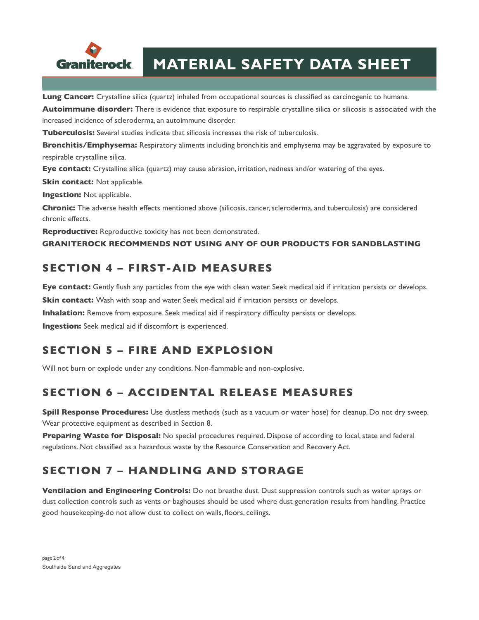

# **MATERIAL SAFETY DATA SHEET**

**Lung Cancer:** Crystalline silica (quartz) inhaled from occupational sources is classified as carcinogenic to humans.

**Autoimmune disorder:** There is evidence that exposure to respirable crystalline silica or silicosis is associated with the increased incidence of scleroderma, an autoimmune disorder.

**Tuberculosis:** Several studies indicate that silicosis increases the risk of tuberculosis.

**Bronchitis/Emphysema:** Respiratory aliments including bronchitis and emphysema may be aggravated by exposure to respirable crystalline silica.

**Eye contact:** Crystalline silica (quartz) may cause abrasion, irritation, redness and/or watering of the eyes.

**Skin contact:** Not applicable.

**Ingestion:** Not applicable.

**Chronic:** The adverse health effects mentioned above (silicosis, cancer, scleroderma, and tuberculosis) are considered chronic effects.

**Reproductive:** Reproductive toxicity has not been demonstrated.

**GRANITEROCK RECOMMENDS NOT USING ANY OF OUR PRODUCTS FOR SANDBLASTING**

## **SECTION 4 – FIRST-AID MEASURES**

**Eye contact:** Gently flush any particles from the eye with clean water. Seek medical aid if irritation persists or develops.

**Skin contact:** Wash with soap and water. Seek medical aid if irritation persists or develops.

**Inhalation:** Remove from exposure. Seek medical aid if respiratory difficulty persists or develops.

**Ingestion:** Seek medical aid if discomfort is experienced.

### **SECTION 5 – FIRE AND EXPLOSION**

Will not burn or explode under any conditions. Non-flammable and non-explosive.

### **SECTION 6 – ACCIDENTAL RELEASE MEASURES**

**Spill Response Procedures:** Use dustless methods (such as a vacuum or water hose) for cleanup. Do not dry sweep. Wear protective equipment as described in Section 8.

**Preparing Waste for Disposal:** No special procedures required. Dispose of according to local, state and federal regulations. Not classified as a hazardous waste by the Resource Conservation and Recovery Act.

# **SECTION 7 – HANDLING AND STORAGE**

**Ventilation and Engineering Controls:** Do not breathe dust. Dust suppression controls such as water sprays or dust collection controls such as vents or baghouses should be used where dust generation results from handling. Practice good housekeeping-do not allow dust to collect on walls, floors, ceilings.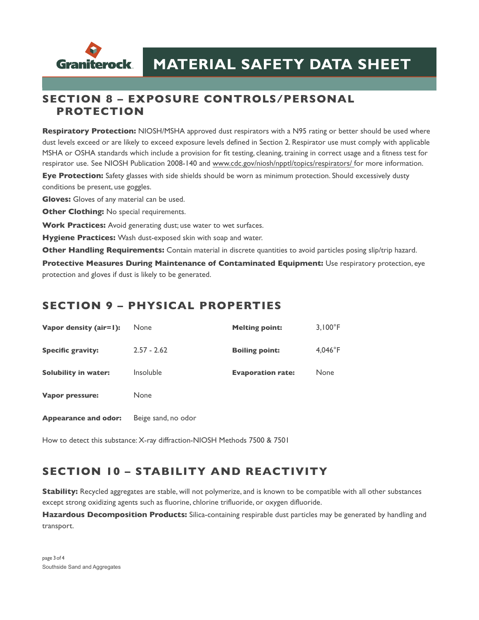

#### **SECTION 8 – EXPOSURE CONTROLS/PERSONAL PROTECTION**

**Respiratory Protection:** NIOSH/MSHA approved dust respirators with a N95 rating or better should be used where dust levels exceed or are likely to exceed exposure levels defined in Section 2. Respirator use must comply with applicable MSHA or OSHA standards which include a provision for fit testing, cleaning, training in correct usage and a fitness test for respirator use. See NIOSH Publication 2008-140 and [www.cdc.gov/niosh/npptl/topics/respirators/](http://www.cdc.gov/niosh/npptl/topics/respirators/) for more information.

**Eye Protection:** Safety glasses with side shields should be worn as minimum protection. Should excessively dusty conditions be present, use goggles.

**Gloves:** Gloves of any material can be used.

**Other Clothing:** No special requirements.

**Work Practices:** Avoid generating dust; use water to wet surfaces.

**Hygiene Practices:** Wash dust-exposed skin with soap and water.

**Other Handling Requirements:** Contain material in discrete quantities to avoid particles posing slip/trip hazard.

**Protective Measures During Maintenance of Contaminated Equipment:** Use respiratory protection, eye protection and gloves if dust is likely to be generated.

#### **SECTION 9 – PHYSICAL PROPERTIES**

| Vapor density (air=1):      | <b>None</b>         | <b>Melting point:</b>    | $3,100^{\circ}F$ |
|-----------------------------|---------------------|--------------------------|------------------|
| <b>Specific gravity:</b>    | $2.57 - 2.62$       | <b>Boiling point:</b>    | $4,046^{\circ}F$ |
| <b>Solubility in water:</b> | Insoluble           | <b>Evaporation rate:</b> | None             |
| <b>Vapor pressure:</b>      | None                |                          |                  |
| <b>Appearance and odor:</b> | Beige sand, no odor |                          |                  |

How to detect this substance: X-ray diffraction-NIOSH Methods 7500 & 7501

### **SECTION 10 – STABILITY AND REACTIVITY**

**Stability:** Recycled aggregates are stable, will not polymerize, and is known to be compatible with all other substances except strong oxidizing agents such as fluorine, chlorine trifluoride, or oxygen difluoride.

**Hazardous Decomposition Products:** Silica-containing respirable dust particles may be generated by handling and transport.